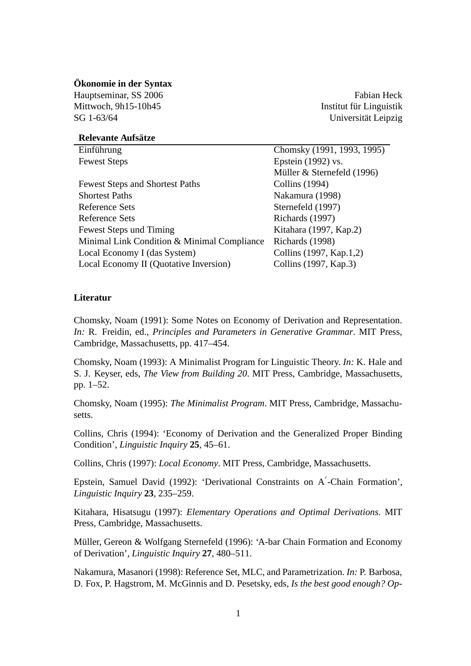## **Ökonomie in der Syntax**

Hauptseminar, SS 2006 Fabian Heck Fabian Heck Mittwoch, 9h15-10h45 **Institut für Linguistik** Institut für Linguistik SG 1-63/64 Universität Leipzig

## **Relevante Aufsätze**

| Einführung                                  | Chomsky (1991, 1993, 1995) |
|---------------------------------------------|----------------------------|
| <b>Fewest Steps</b>                         | Epstein $(1992)$ vs.       |
|                                             | Müller & Sternefeld (1996) |
| <b>Fewest Steps and Shortest Paths</b>      | Collins (1994)             |
| <b>Shortest Paths</b>                       | Nakamura (1998)            |
| Reference Sets                              | Sternefeld (1997)          |
| Reference Sets                              | Richards (1997)            |
| Fewest Steps und Timing                     | Kitahara (1997, Kap.2)     |
| Minimal Link Condition & Minimal Compliance | Richards (1998)            |
| Local Economy I (das System)                | Collins (1997, Kap.1,2)    |
| Local Economy II (Quotative Inversion)      | Collins (1997, Kap.3)      |

## **Literatur**

Chomsky, Noam (1991): Some Notes on Economy of Derivation and Representation. *In:* R. Freidin, ed., *Principles and Parameters in Generative Grammar*. MIT Press, Cambridge, Massachusetts, pp. 417–454.

Chomsky, Noam (1993): A Minimalist Program for Linguistic Theory. *In:* K. Hale and S. J. Keyser, eds, *The View from Building 20*. MIT Press, Cambridge, Massachusetts, pp. 1–52.

Chomsky, Noam (1995): *The Minimalist Program*. MIT Press, Cambridge, Massachusetts.

Collins, Chris (1994): 'Economy of Derivation and the Generalized Proper Binding Condition', *Linguistic Inquiry* **25**, 45–61.

Collins, Chris (1997): *Local Economy*. MIT Press, Cambridge, Massachusetts.

Epstein, Samuel David (1992): 'Derivational Constraints on A'-Chain Formation', *Linguistic Inquiry* **23**, 235–259.

Kitahara, Hisatsugu (1997): *Elementary Operations and Optimal Derivations*. MIT Press, Cambridge, Massachusetts.

Müller, Gereon & Wolfgang Sternefeld (1996): 'A-bar Chain Formation and Economy of Derivation', *Linguistic Inquiry* **27**, 480–511.

Nakamura, Masanori (1998): Reference Set, MLC, and Parametrization. *In:* P. Barbosa, D. Fox, P. Hagstrom, M. McGinnis and D. Pesetsky, eds, *Is the best good enough? Op-*